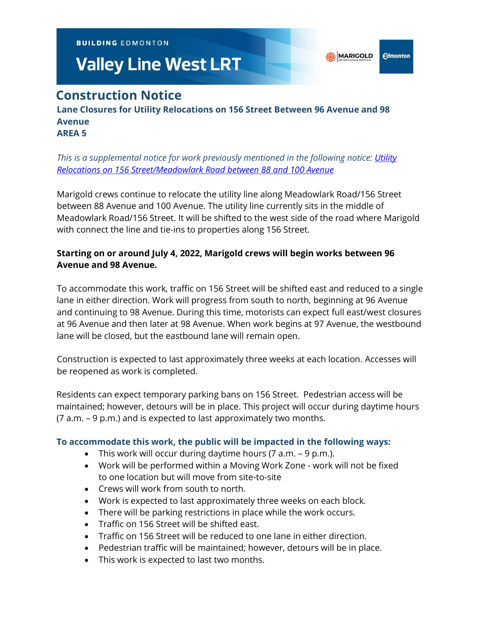**BUILDING EDMONTON** 

# **Valley Line West LRT**

# **Construction Notice**

#### **Lane Closures for Utility Relocations on 156 Street Between 96 Avenue and 98 Avenue AREA 5**

### *This is a supplemental notice for work previously mentioned in the following notice: [Utility](https://vlwcommprod.blob.core.windows.net/vlwcomm-files/dbb66509-d747-4d73-a07c-6b15b3818fdc-ce9b08f7-e3ea-48f9-bcb2-63ae075c9de9-1-Mar-22%20156%20St%2088-100%20Ave%20Utility%20Relocates.pdf)  [Relocations on 156 Street/Meadowlark Road between 88 and 100 Avenue](https://vlwcommprod.blob.core.windows.net/vlwcomm-files/dbb66509-d747-4d73-a07c-6b15b3818fdc-ce9b08f7-e3ea-48f9-bcb2-63ae075c9de9-1-Mar-22%20156%20St%2088-100%20Ave%20Utility%20Relocates.pdf)*

Marigold crews continue to relocate the utility line along Meadowlark Road/156 Street between 88 Avenue and 100 Avenue. The utility line currently sits in the middle of Meadowlark Road/156 Street. It will be shifted to the west side of the road where Marigold with connect the line and tie-ins to properties along 156 Street.

## **Starting on or around July 4, 2022, Marigold crews will begin works between 96 Avenue and 98 Avenue.**

To accommodate this work, traffic on 156 Street will be shifted east and reduced to a single lane in either direction. Work will progress from south to north, beginning at 96 Avenue and continuing to 98 Avenue. During this time, motorists can expect full east/west closures at 96 Avenue and then later at 98 Avenue. When work begins at 97 Avenue, the westbound lane will be closed, but the eastbound lane will remain open.

Construction is expected to last approximately three weeks at each location. Accesses will be reopened as work is completed.

Residents can expect temporary parking bans on 156 Street. Pedestrian access will be maintained; however, detours will be in place. This project will occur during daytime hours (7 a.m. – 9 p.m.) and is expected to last approximately two months.

#### **To accommodate this work, the public will be impacted in the following ways:**

- This work will occur during daytime hours  $(7 a.m. 9 p.m.).$
- Work will be performed within a Moving Work Zone work will not be fixed to one location but will move from site-to-site
- Crews will work from south to north.
- Work is expected to last approximately three weeks on each block.
- There will be parking restrictions in place while the work occurs.
- Traffic on 156 Street will be shifted east.
- Traffic on 156 Street will be reduced to one lane in either direction.
- Pedestrian traffic will be maintained; however, detours will be in place.
- This work is expected to last two months.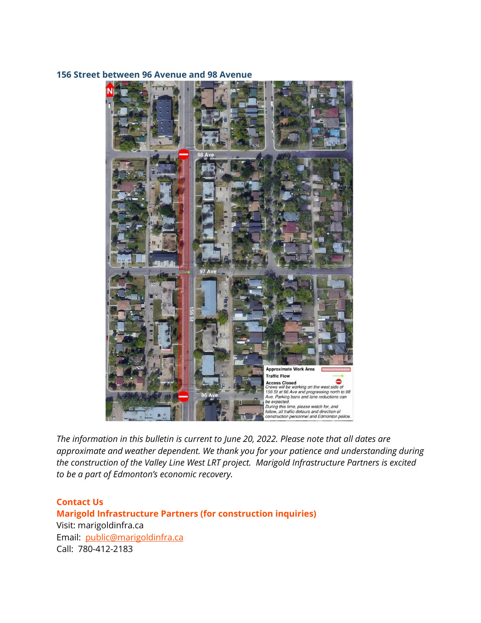#### **156 Street between 96 Avenue and 98 Avenue**



*The information in this bulletin is current to June 20, 2022. Please note that all dates are approximate and weather dependent. We thank you for your patience and understanding during the construction of the Valley Line West LRT project. Marigold Infrastructure Partners is excited to be a part of Edmonton's economic recovery.*

**Contact Us Marigold Infrastructure Partners (for construction inquiries)** Visit: marigoldinfra.ca Email: [public@marigoldinfra.ca](mailto:public@marigoldinfra.ca) Call: 780-412-2183